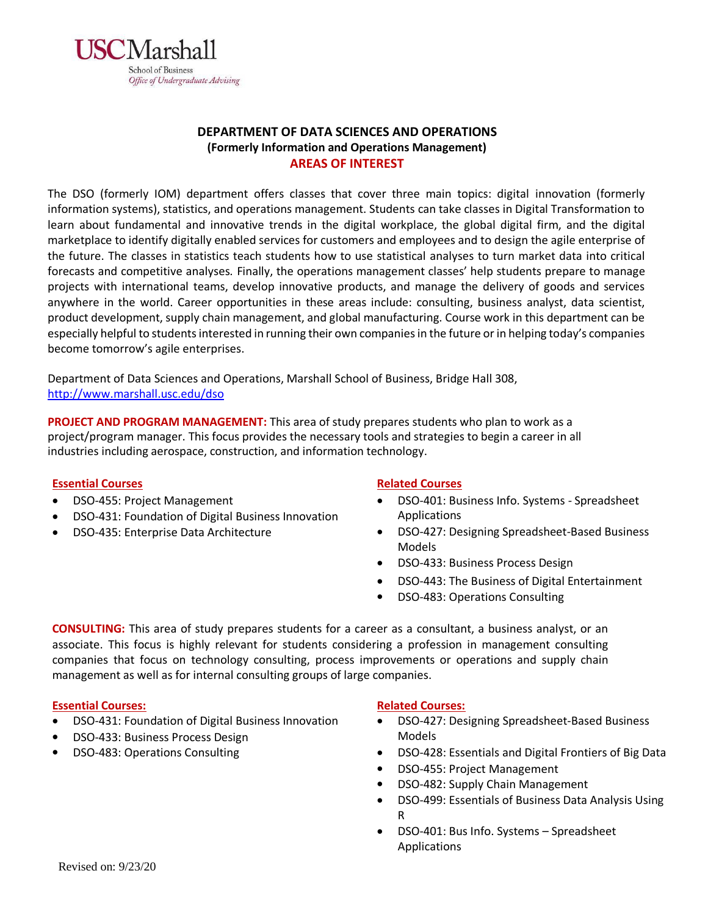

# **DEPARTMENT OF DATA SCIENCES AND OPERATIONS (Formerly Information and Operations Management) AREAS OF INTEREST**

The DSO (formerly IOM) department offers classes that cover three main topics: digital innovation (formerly information systems), statistics, and operations management. Students can take classes in Digital Transformation to learn about fundamental and innovative trends in the digital workplace, the global digital firm, and the digital marketplace to identify digitally enabled services for customers and employees and to design the agile enterprise of the future. The classes in statistics teach students how to use statistical analyses to turn market data into critical forecasts and competitive analyses. Finally, the operations management classes' help students prepare to manage projects with international teams, develop innovative products, and manage the delivery of goods and services anywhere in the world. Career opportunities in these areas include: consulting, business analyst, data scientist, product development, supply chain management, and global manufacturing. Course work in this department can be especially helpful to students interested in running their own companies in the future orin helping today's companies become tomorrow's agile enterprises.

Department of Data Sciences and Operations, Marshall School of Business, Bridge Hall 308, <http://www.marshall.usc.edu/dso>

**PROJECT AND PROGRAM MANAGEMENT:** This area of study prepares students who plan to work as a project/program manager. This focus provides the necessary tools and strategies to begin a career in all industries including aerospace, construction, and information technology.

# **Essential Courses**

- DSO-455: Project Management
- DSO-431: Foundation of Digital Business Innovation
- DSO-435: Enterprise Data Architecture

# **Related Courses**

- DSO-401: Business Info. Systems Spreadsheet Applications
- DSO-427: Designing Spreadsheet-Based Business Models
- DSO-433: Business Process Design
- DSO-443: The Business of Digital Entertainment
- DSO-483: Operations Consulting

**CONSULTING:** This area of study prepares students for a career as a consultant, a business analyst, or an associate. This focus is highly relevant for students considering a profession in management consulting companies that focus on technology consulting, process improvements or operations and supply chain management as well as for internal consulting groups of large companies.

# **Essential Courses:**

- DSO-431: Foundation of Digital Business Innovation
- DSO-433: Business Process Design
- DSO-483: Operations Consulting

#### **Related Courses:**

- DSO-427: Designing Spreadsheet-Based Business Models
- DSO-428: Essentials and Digital Frontiers of Big Data
- DSO-455: Project Management
- DSO-482: Supply Chain Management
- DSO-499: Essentials of Business Data Analysis Using R
- DSO-401: Bus Info. Systems Spreadsheet Applications